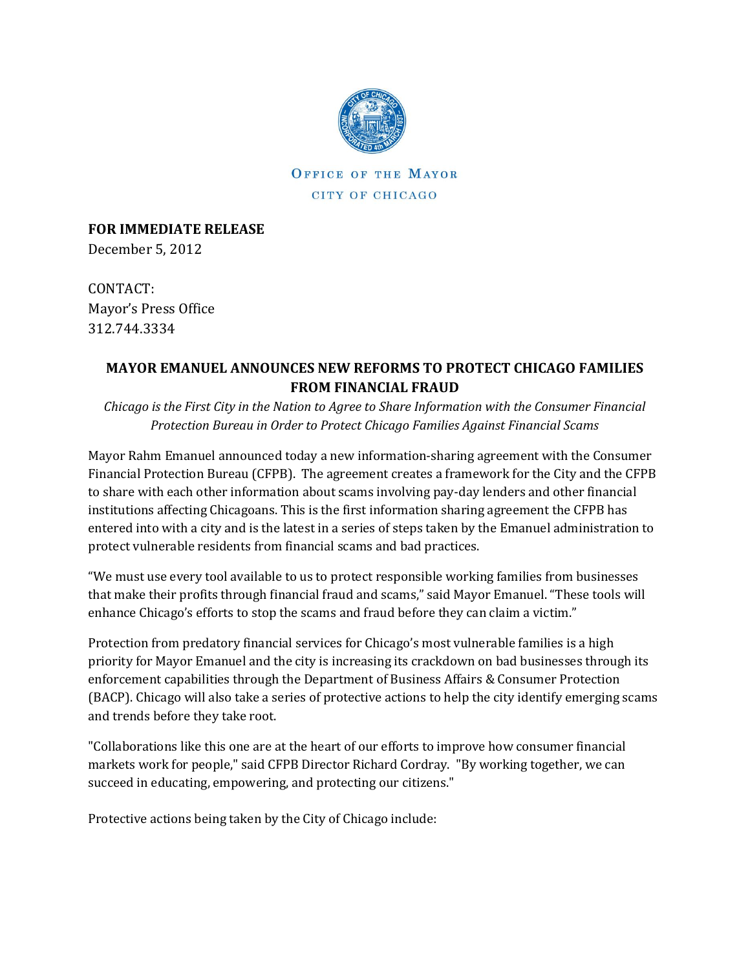

OFFICE OF THE MAYOR CITY OF CHICAGO

**FOR IMMEDIATE RELEASE** December 5, 2012

CONTACT: Mayor's Press Office 312.744.3334

## **MAYOR EMANUEL ANNOUNCES NEW REFORMS TO PROTECT CHICAGO FAMILIES FROM FINANCIAL FRAUD**

*Chicago is the First City in the Nation to Agree to Share Information with the Consumer Financial Protection Bureau in Order to Protect Chicago Families Against Financial Scams* 

Mayor Rahm Emanuel announced today a new information-sharing agreement with the Consumer Financial Protection Bureau (CFPB). The agreement creates a framework for the City and the CFPB to share with each other information about scams involving pay-day lenders and other financial institutions affecting Chicagoans. This is the first information sharing agreement the CFPB has entered into with a city and is the latest in a series of steps taken by the Emanuel administration to protect vulnerable residents from financial scams and bad practices.

"We must use every tool available to us to protect responsible working families from businesses that make their profits through financial fraud and scams," said Mayor Emanuel. "These tools will enhance Chicago's efforts to stop the scams and fraud before they can claim a victim."

Protection from predatory financial services for Chicago's most vulnerable families is a high priority for Mayor Emanuel and the city is increasing its crackdown on bad businesses through its enforcement capabilities through the Department of Business Affairs & Consumer Protection (BACP). Chicago will also take a series of protective actions to help the city identify emerging scams and trends before they take root.

"Collaborations like this one are at the heart of our efforts to improve how consumer financial markets work for people," said CFPB Director Richard Cordray. "By working together, we can succeed in educating, empowering, and protecting our citizens."

Protective actions being taken by the City of Chicago include: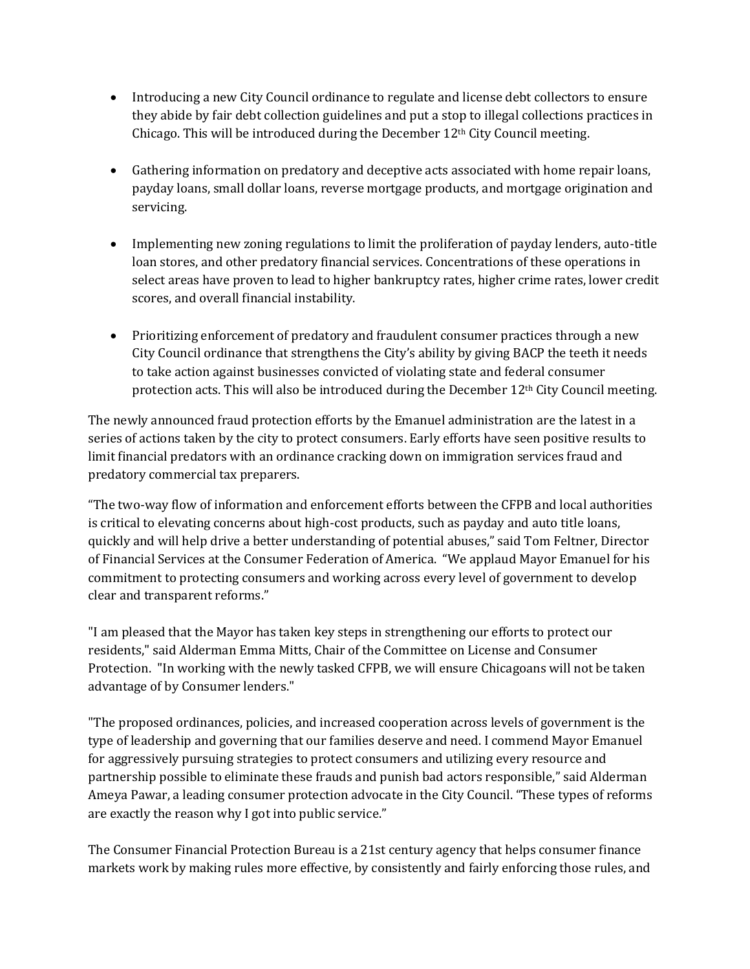- Introducing a new City Council ordinance to regulate and license debt collectors to ensure they abide by fair debt collection guidelines and put a stop to illegal collections practices in Chicago. This will be introduced during the December 12th City Council meeting.
- Gathering information on predatory and deceptive acts associated with home repair loans, payday loans, small dollar loans, reverse mortgage products, and mortgage origination and servicing.
- Implementing new zoning regulations to limit the proliferation of payday lenders, auto-title loan stores, and other predatory financial services. Concentrations of these operations in select areas have proven to lead to higher bankruptcy rates, higher crime rates, lower credit scores, and overall financial instability.
- Prioritizing enforcement of predatory and fraudulent consumer practices through a new City Council ordinance that strengthens the City's ability by giving BACP the teeth it needs to take action against businesses convicted of violating state and federal consumer protection acts. This will also be introduced during the December 12<sup>th</sup> City Council meeting.

The newly announced fraud protection efforts by the Emanuel administration are the latest in a series of actions taken by the city to protect consumers. Early efforts have seen positive results to limit financial predators with an ordinance cracking down on immigration services fraud and predatory commercial tax preparers.

"The two-way flow of information and enforcement efforts between the CFPB and local authorities is critical to elevating concerns about high-cost products, such as payday and auto title loans, quickly and will help drive a better understanding of potential abuses," said Tom Feltner, Director of Financial Services at the Consumer Federation of America. "We applaud Mayor Emanuel for his commitment to protecting consumers and working across every level of government to develop clear and transparent reforms."

"I am pleased that the Mayor has taken key steps in strengthening our efforts to protect our residents," said Alderman Emma Mitts, Chair of the Committee on License and Consumer Protection. "In working with the newly tasked CFPB, we will ensure Chicagoans will not be taken advantage of by Consumer lenders."

"The proposed ordinances, policies, and increased cooperation across levels of government is the type of leadership and governing that our families deserve and need. I commend Mayor Emanuel for aggressively pursuing strategies to protect consumers and utilizing every resource and partnership possible to eliminate these frauds and punish bad actors responsible," said Alderman Ameya Pawar, a leading consumer protection advocate in the City Council. "These types of reforms are exactly the reason why I got into public service."

The Consumer Financial Protection Bureau is a 21st century agency that helps consumer finance markets work by making rules more effective, by consistently and fairly enforcing those rules, and